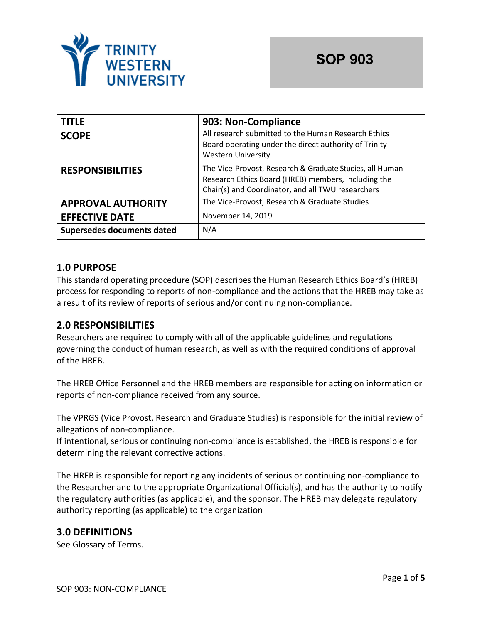

| <b>TITLE</b>               | 903: Non-Compliance                                                                                                                                                  |
|----------------------------|----------------------------------------------------------------------------------------------------------------------------------------------------------------------|
| <b>SCOPE</b>               | All research submitted to the Human Research Ethics<br>Board operating under the direct authority of Trinity<br><b>Western University</b>                            |
| <b>RESPONSIBILITIES</b>    | The Vice-Provost, Research & Graduate Studies, all Human<br>Research Ethics Board (HREB) members, including the<br>Chair(s) and Coordinator, and all TWU researchers |
| <b>APPROVAL AUTHORITY</b>  | The Vice-Provost, Research & Graduate Studies                                                                                                                        |
| <b>EFFECTIVE DATE</b>      | November 14, 2019                                                                                                                                                    |
| Supersedes documents dated | N/A                                                                                                                                                                  |

### **1.0 PURPOSE**

This standard operating procedure (SOP) describes the Human Research Ethics Board's (HREB) process for responding to reports of non-compliance and the actions that the HREB may take as a result of its review of reports of serious and/or continuing non-compliance.

### **2.0 RESPONSIBILITIES**

Researchers are required to comply with all of the applicable guidelines and regulations governing the conduct of human research, as well as with the required conditions of approval of the HREB.

The HREB Office Personnel and the HREB members are responsible for acting on information or reports of non-compliance received from any source.

The VPRGS (Vice Provost, Research and Graduate Studies) is responsible for the initial review of allegations of non-compliance.

If intentional, serious or continuing non-compliance is established, the HREB is responsible for determining the relevant corrective actions.

The HREB is responsible for reporting any incidents of serious or continuing non-compliance to the Researcher and to the appropriate Organizational Official(s), and has the authority to notify the regulatory authorities (as applicable), and the sponsor. The HREB may delegate regulatory authority reporting (as applicable) to the organization

### **3.0 DEFINITIONS**

See Glossary of Terms.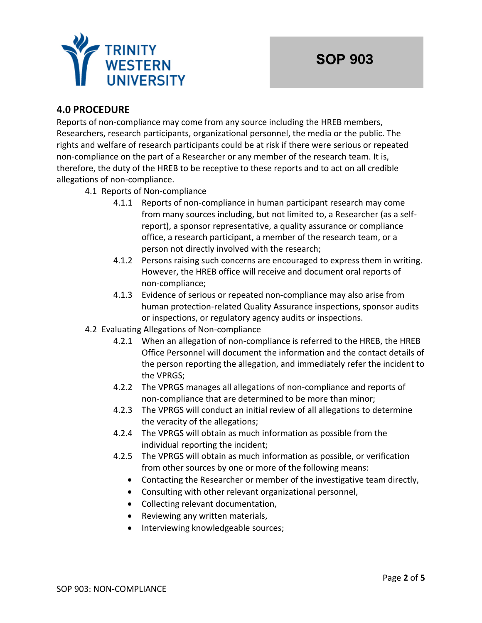

# **4.0 PROCEDURE**

Reports of non-compliance may come from any source including the HREB members, Researchers, research participants, organizational personnel, the media or the public. The rights and welfare of research participants could be at risk if there were serious or repeated non-compliance on the part of a Researcher or any member of the research team. It is, therefore, the duty of the HREB to be receptive to these reports and to act on all credible allegations of non-compliance.

- 4.1 Reports of Non-compliance
	- 4.1.1 Reports of non-compliance in human participant research may come from many sources including, but not limited to, a Researcher (as a selfreport), a sponsor representative, a quality assurance or compliance office, a research participant, a member of the research team, or a person not directly involved with the research;
	- 4.1.2 Persons raising such concerns are encouraged to express them in writing. However, the HREB office will receive and document oral reports of non-compliance;
	- 4.1.3 Evidence of serious or repeated non-compliance may also arise from human protection-related Quality Assurance inspections, sponsor audits or inspections, or regulatory agency audits or inspections.
- 4.2 Evaluating Allegations of Non-compliance
	- 4.2.1 When an allegation of non-compliance is referred to the HREB, the HREB Office Personnel will document the information and the contact details of the person reporting the allegation, and immediately refer the incident to the VPRGS;
	- 4.2.2 The VPRGS manages all allegations of non-compliance and reports of non-compliance that are determined to be more than minor;
	- 4.2.3 The VPRGS will conduct an initial review of all allegations to determine the veracity of the allegations;
	- 4.2.4 The VPRGS will obtain as much information as possible from the individual reporting the incident;
	- 4.2.5 The VPRGS will obtain as much information as possible, or verification from other sources by one or more of the following means:
		- Contacting the Researcher or member of the investigative team directly,
		- Consulting with other relevant organizational personnel,
		- Collecting relevant documentation,
		- Reviewing any written materials,
		- Interviewing knowledgeable sources;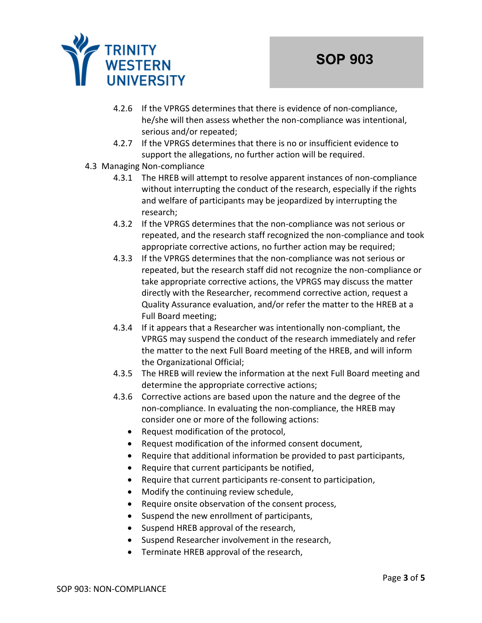

- 4.2.6 If the VPRGS determines that there is evidence of non-compliance, he/she will then assess whether the non-compliance was intentional, serious and/or repeated;
- 4.2.7 If the VPRGS determines that there is no or insufficient evidence to support the allegations, no further action will be required.
- 4.3 Managing Non-compliance
	- 4.3.1 The HREB will attempt to resolve apparent instances of non-compliance without interrupting the conduct of the research, especially if the rights and welfare of participants may be jeopardized by interrupting the research;
	- 4.3.2 If the VPRGS determines that the non-compliance was not serious or repeated, and the research staff recognized the non-compliance and took appropriate corrective actions, no further action may be required;
	- 4.3.3 If the VPRGS determines that the non-compliance was not serious or repeated, but the research staff did not recognize the non-compliance or take appropriate corrective actions, the VPRGS may discuss the matter directly with the Researcher, recommend corrective action, request a Quality Assurance evaluation, and/or refer the matter to the HREB at a Full Board meeting;
	- 4.3.4 If it appears that a Researcher was intentionally non-compliant, the VPRGS may suspend the conduct of the research immediately and refer the matter to the next Full Board meeting of the HREB, and will inform the Organizational Official;
	- 4.3.5 The HREB will review the information at the next Full Board meeting and determine the appropriate corrective actions;
	- 4.3.6 Corrective actions are based upon the nature and the degree of the non-compliance. In evaluating the non-compliance, the HREB may consider one or more of the following actions:
		- Request modification of the protocol,
		- Request modification of the informed consent document,
		- Require that additional information be provided to past participants,
		- Require that current participants be notified,
		- Require that current participants re-consent to participation,
		- Modify the continuing review schedule,
		- Require onsite observation of the consent process,
		- Suspend the new enrollment of participants,
		- Suspend HREB approval of the research,
		- Suspend Researcher involvement in the research,
		- Terminate HREB approval of the research,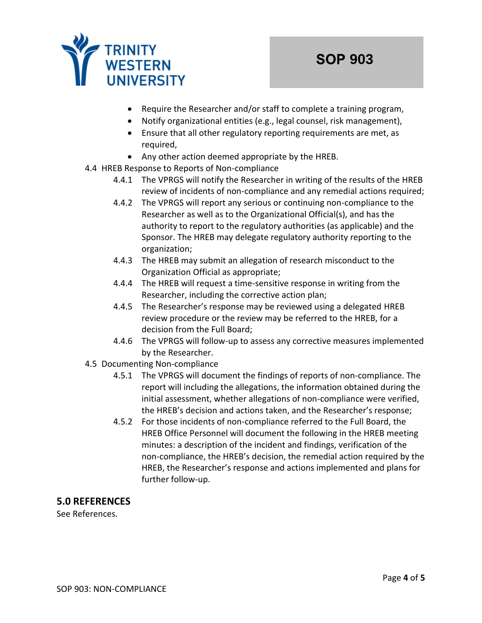

- Require the Researcher and/or staff to complete a training program,
- Notify organizational entities (e.g., legal counsel, risk management),
- Ensure that all other regulatory reporting requirements are met, as required,
- Any other action deemed appropriate by the HREB.
- 4.4 HREB Response to Reports of Non-compliance
	- 4.4.1 The VPRGS will notify the Researcher in writing of the results of the HREB review of incidents of non-compliance and any remedial actions required;
	- 4.4.2 The VPRGS will report any serious or continuing non-compliance to the Researcher as well as to the Organizational Official(s), and has the authority to report to the regulatory authorities (as applicable) and the Sponsor. The HREB may delegate regulatory authority reporting to the organization;
	- 4.4.3 The HREB may submit an allegation of research misconduct to the Organization Official as appropriate;
	- 4.4.4 The HREB will request a time-sensitive response in writing from the Researcher, including the corrective action plan;
	- 4.4.5 The Researcher's response may be reviewed using a delegated HREB review procedure or the review may be referred to the HREB, for a decision from the Full Board;
	- 4.4.6 The VPRGS will follow-up to assess any corrective measures implemented by the Researcher.
- 4.5 Documenting Non-compliance
	- 4.5.1 The VPRGS will document the findings of reports of non-compliance. The report will including the allegations, the information obtained during the initial assessment, whether allegations of non-compliance were verified, the HREB's decision and actions taken, and the Researcher's response;
	- 4.5.2 For those incidents of non-compliance referred to the Full Board, the HREB Office Personnel will document the following in the HREB meeting minutes: a description of the incident and findings, verification of the non-compliance, the HREB's decision, the remedial action required by the HREB, the Researcher's response and actions implemented and plans for further follow-up.

### **5.0 REFERENCES**

See References.